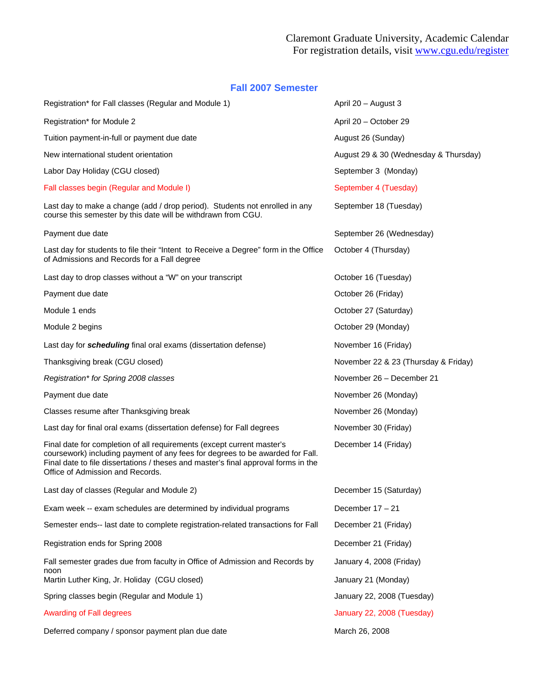## Claremont Graduate University, Academic Calendar For registration details, visit www.cgu.edu/register

## **Fall 2007 Semester**

| Registration* for Fall classes (Regular and Module 1)                                                                                                                                                                                                                             | April 20 - August 3                   |  |
|-----------------------------------------------------------------------------------------------------------------------------------------------------------------------------------------------------------------------------------------------------------------------------------|---------------------------------------|--|
| Registration* for Module 2                                                                                                                                                                                                                                                        | April 20 - October 29                 |  |
| Tuition payment-in-full or payment due date                                                                                                                                                                                                                                       | August 26 (Sunday)                    |  |
| New international student orientation                                                                                                                                                                                                                                             | August 29 & 30 (Wednesday & Thursday) |  |
| Labor Day Holiday (CGU closed)                                                                                                                                                                                                                                                    | September 3 (Monday)                  |  |
| Fall classes begin (Regular and Module I)                                                                                                                                                                                                                                         | September 4 (Tuesday)                 |  |
| Last day to make a change (add / drop period). Students not enrolled in any<br>course this semester by this date will be withdrawn from CGU.                                                                                                                                      | September 18 (Tuesday)                |  |
| Payment due date                                                                                                                                                                                                                                                                  | September 26 (Wednesday)              |  |
| Last day for students to file their "Intent to Receive a Degree" form in the Office<br>of Admissions and Records for a Fall degree                                                                                                                                                | October 4 (Thursday)                  |  |
| Last day to drop classes without a "W" on your transcript                                                                                                                                                                                                                         | October 16 (Tuesday)                  |  |
| Payment due date                                                                                                                                                                                                                                                                  | October 26 (Friday)                   |  |
| Module 1 ends                                                                                                                                                                                                                                                                     | October 27 (Saturday)                 |  |
| Module 2 begins                                                                                                                                                                                                                                                                   | October 29 (Monday)                   |  |
| Last day for <i>scheduling</i> final oral exams (dissertation defense)                                                                                                                                                                                                            | November 16 (Friday)                  |  |
| Thanksgiving break (CGU closed)                                                                                                                                                                                                                                                   | November 22 & 23 (Thursday & Friday)  |  |
| Registration* for Spring 2008 classes                                                                                                                                                                                                                                             | November 26 - December 21             |  |
| Payment due date                                                                                                                                                                                                                                                                  | November 26 (Monday)                  |  |
| Classes resume after Thanksgiving break                                                                                                                                                                                                                                           | November 26 (Monday)                  |  |
| Last day for final oral exams (dissertation defense) for Fall degrees                                                                                                                                                                                                             | November 30 (Friday)                  |  |
| Final date for completion of all requirements (except current master's<br>coursework) including payment of any fees for degrees to be awarded for Fall.<br>Final date to file dissertations / theses and master's final approval forms in the<br>Office of Admission and Records. | December 14 (Friday)                  |  |
| Last day of classes (Regular and Module 2)                                                                                                                                                                                                                                        | December 15 (Saturday)                |  |
| Exam week -- exam schedules are determined by individual programs                                                                                                                                                                                                                 | December $17 - 21$                    |  |
| Semester ends-- last date to complete registration-related transactions for Fall                                                                                                                                                                                                  | December 21 (Friday)                  |  |
| Registration ends for Spring 2008                                                                                                                                                                                                                                                 | December 21 (Friday)                  |  |
| Fall semester grades due from faculty in Office of Admission and Records by<br>noon                                                                                                                                                                                               | January 4, 2008 (Friday)              |  |
| Martin Luther King, Jr. Holiday (CGU closed)                                                                                                                                                                                                                                      | January 21 (Monday)                   |  |
| Spring classes begin (Regular and Module 1)                                                                                                                                                                                                                                       | January 22, 2008 (Tuesday)            |  |
| <b>Awarding of Fall degrees</b>                                                                                                                                                                                                                                                   | January 22, 2008 (Tuesday)            |  |
| Deferred company / sponsor payment plan due date                                                                                                                                                                                                                                  | March 26, 2008                        |  |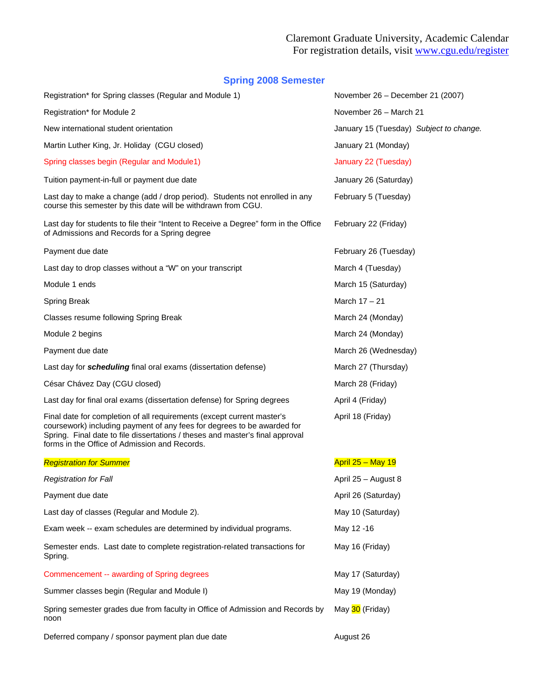## **Spring 2008 Semester**

| Registration* for Spring classes (Regular and Module 1)                                                                                                                                                                                                                             | November 26 - December 21 (2007)        |  |
|-------------------------------------------------------------------------------------------------------------------------------------------------------------------------------------------------------------------------------------------------------------------------------------|-----------------------------------------|--|
| Registration* for Module 2                                                                                                                                                                                                                                                          | November 26 - March 21                  |  |
| New international student orientation                                                                                                                                                                                                                                               | January 15 (Tuesday) Subject to change. |  |
| Martin Luther King, Jr. Holiday (CGU closed)                                                                                                                                                                                                                                        | January 21 (Monday)                     |  |
| Spring classes begin (Regular and Module1)                                                                                                                                                                                                                                          | January 22 (Tuesday)                    |  |
| Tuition payment-in-full or payment due date                                                                                                                                                                                                                                         | January 26 (Saturday)                   |  |
| Last day to make a change (add / drop period). Students not enrolled in any<br>course this semester by this date will be withdrawn from CGU.                                                                                                                                        | February 5 (Tuesday)                    |  |
| Last day for students to file their "Intent to Receive a Degree" form in the Office<br>of Admissions and Records for a Spring degree                                                                                                                                                | February 22 (Friday)                    |  |
| Payment due date                                                                                                                                                                                                                                                                    | February 26 (Tuesday)                   |  |
| Last day to drop classes without a "W" on your transcript                                                                                                                                                                                                                           | March 4 (Tuesday)                       |  |
| Module 1 ends                                                                                                                                                                                                                                                                       | March 15 (Saturday)                     |  |
| <b>Spring Break</b>                                                                                                                                                                                                                                                                 | March $17 - 21$                         |  |
| Classes resume following Spring Break                                                                                                                                                                                                                                               | March 24 (Monday)                       |  |
| Module 2 begins                                                                                                                                                                                                                                                                     | March 24 (Monday)                       |  |
| Payment due date                                                                                                                                                                                                                                                                    | March 26 (Wednesday)                    |  |
| Last day for scheduling final oral exams (dissertation defense)                                                                                                                                                                                                                     | March 27 (Thursday)                     |  |
| César Chávez Day (CGU closed)                                                                                                                                                                                                                                                       | March 28 (Friday)                       |  |
| Last day for final oral exams (dissertation defense) for Spring degrees                                                                                                                                                                                                             | April 4 (Friday)                        |  |
| Final date for completion of all requirements (except current master's<br>coursework) including payment of any fees for degrees to be awarded for<br>Spring. Final date to file dissertations / theses and master's final approval<br>forms in the Office of Admission and Records. | April 18 (Friday)                       |  |
| <b>Registration for Summer</b>                                                                                                                                                                                                                                                      | <b>April 25 - May 19</b>                |  |
| <b>Registration for Fall</b>                                                                                                                                                                                                                                                        | April 25 - August 8                     |  |
| Payment due date                                                                                                                                                                                                                                                                    | April 26 (Saturday)                     |  |
| Last day of classes (Regular and Module 2).                                                                                                                                                                                                                                         | May 10 (Saturday)                       |  |
| Exam week -- exam schedules are determined by individual programs.                                                                                                                                                                                                                  | May 12 -16                              |  |
| Semester ends. Last date to complete registration-related transactions for<br>Spring.                                                                                                                                                                                               | May 16 (Friday)                         |  |
| Commencement -- awarding of Spring degrees                                                                                                                                                                                                                                          | May 17 (Saturday)                       |  |
| Summer classes begin (Regular and Module I)                                                                                                                                                                                                                                         | May 19 (Monday)                         |  |
| Spring semester grades due from faculty in Office of Admission and Records by<br>noon                                                                                                                                                                                               | May 30 (Friday)                         |  |

Deferred company / sponsor payment plan due date August 26